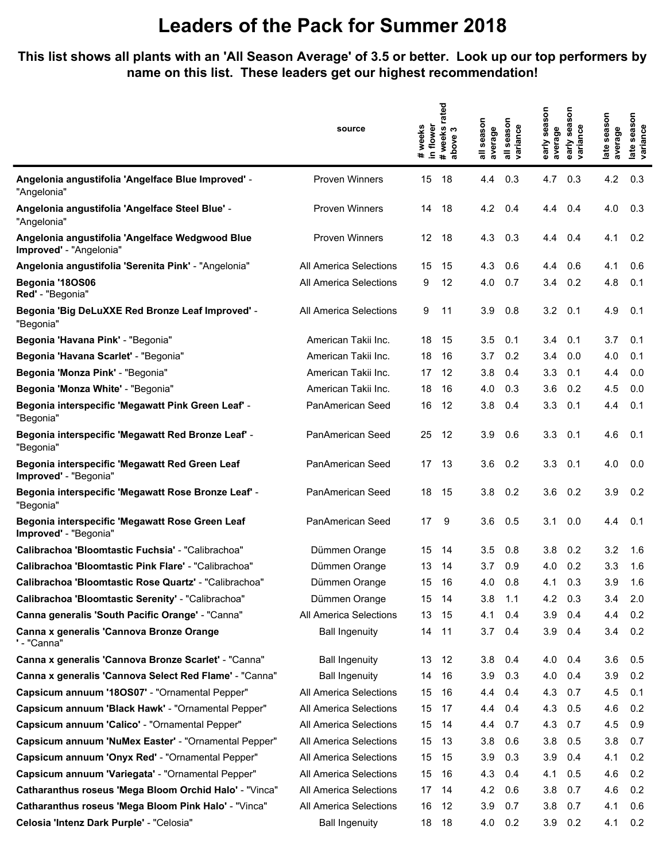#### **This list shows all plants with an 'All Season Average' of 3.5 or better. Look up our top performers by name on this list. These leaders get our highest recommendation!**

|                                                                            | source                        | in flower<br>weeks<br>$\pmb{\ast}$ | rated<br># weeks<br>S<br>above | all season<br>average | season<br>variance<br>$\overline{a}$ | early season<br>average | son<br>sea<br>variance<br>early | late season<br>average | late season<br>variance |
|----------------------------------------------------------------------------|-------------------------------|------------------------------------|--------------------------------|-----------------------|--------------------------------------|-------------------------|---------------------------------|------------------------|-------------------------|
| Angelonia angustifolia 'Angelface Blue Improved' -<br>"Angelonia"          | <b>Proven Winners</b>         | 15                                 | 18                             | 4.4                   | 0.3                                  | 4.7                     | 0.3                             | 4.2                    | 0.3                     |
| Angelonia angustifolia 'Angelface Steel Blue' -<br>"Angelonia"             | <b>Proven Winners</b>         | 14                                 | 18                             | 4.2                   | 0.4                                  | 4.4                     | 0.4                             | 4.0                    | 0.3                     |
| Angelonia angustifolia 'Angelface Wedgwood Blue<br>Improved' - "Angelonia" | <b>Proven Winners</b>         | 12                                 | 18                             | 4.3                   | 0.3                                  | 4.4                     | 0.4                             | 4.1                    | 0.2                     |
| Angelonia angustifolia 'Serenita Pink' - "Angelonia"                       | All America Selections        | 15                                 | 15                             | 4.3                   | 0.6                                  | 4.4                     | 0.6                             | 4.1                    | 0.6                     |
| Begonia '18OS06<br>Red' - "Begonia"                                        | All America Selections        | 9                                  | 12                             | 4.0                   | 0.7                                  | 3.4                     | 0.2                             | 4.8                    | 0.1                     |
| Begonia 'Big DeLuXXE Red Bronze Leaf Improved' -<br>"Begonia"              | <b>All America Selections</b> | 9                                  | 11                             | 3.9                   | 0.8                                  | 3.2                     | 0.1                             | 4.9                    | 0.1                     |
| Begonia 'Havana Pink' - "Begonia"                                          | American Takii Inc.           | 18                                 | 15                             | 3.5                   | 0.1                                  | 3.4                     | 0.1                             | 3.7                    | 0.1                     |
| Begonia 'Havana Scarlet' - "Begonia"                                       | American Takii Inc.           | 18                                 | 16                             | 3.7                   | 0.2                                  | 3.4                     | 0.0                             | 4.0                    | 0.1                     |
| Begonia 'Monza Pink' - "Begonia"                                           | American Takii Inc.           | 17                                 | 12                             | 3.8                   | 0.4                                  | 3.3                     | 0.1                             | 4.4                    | 0.0                     |
| Begonia 'Monza White' - "Begonia"                                          | American Takii Inc.           | 18                                 | 16                             | 4.0                   | 0.3                                  | 3.6                     | 0.2                             | 4.5                    | 0.0                     |
| Begonia interspecific 'Megawatt Pink Green Leaf' -<br>"Begonia"            | PanAmerican Seed              | 16                                 | 12                             | 3.8                   | 0.4                                  | 3.3                     | 0.1                             | 4.4                    | 0.1                     |
| Begonia interspecific 'Megawatt Red Bronze Leaf' -<br>"Begonia"            | PanAmerican Seed              | 25                                 | -12                            | 3.9                   | 0.6                                  | 3.3                     | 0.1                             | 4.6                    | 0.1                     |
| Begonia interspecific 'Megawatt Red Green Leaf<br>Improved' - "Begonia"    | PanAmerican Seed              | 17                                 | 13                             | 3.6                   | 0.2                                  | 3.3                     | 0.1                             | 4.0                    | 0.0                     |
| Begonia interspecific 'Megawatt Rose Bronze Leaf' -<br>"Begonia"           | PanAmerican Seed              | 18                                 | 15                             | 3.8                   | 0.2                                  | 3.6                     | 0.2                             | 3.9                    | 0.2                     |
| Begonia interspecific 'Megawatt Rose Green Leaf<br>Improved' - "Begonia"   | PanAmerican Seed              | 17                                 | 9                              | 3.6                   | 0.5                                  | 3.1                     | 0.0                             | 4.4                    | 0.1                     |
| Calibrachoa 'Bloomtastic Fuchsia' - "Calibrachoa"                          | Dümmen Orange                 | 15                                 | 14                             | 3.5                   | 0.8                                  | 3.8                     | 0.2                             | 3.2                    | 1.6                     |
| Calibrachoa 'Bloomtastic Pink Flare' - "Calibrachoa"                       | Dümmen Orange                 | 13                                 | 14                             | 3.7                   | 0.9                                  | 4.0                     | 0.2                             | 3.3                    | 1.6                     |
| Calibrachoa 'Bloomtastic Rose Quartz' - "Calibrachoa"                      | Dümmen Orange                 | 15                                 | 16                             | 4.0                   | 0.8                                  | 4.1                     | 0.3                             | 3.9                    | 1.6                     |
| Calibrachoa 'Bloomtastic Serenity' - "Calibrachoa"                         | Dümmen Orange                 | 15 <sub>1</sub>                    | - 14                           | 3.8                   | 1.1                                  | 4.2                     | 0.3                             | 3.4                    | 2.0                     |
| Canna generalis 'South Pacific Orange' - "Canna"                           | All America Selections        | 13                                 | 15                             | 4.1                   | 0.4                                  | 3.9                     | 0.4                             | 4.4                    | 0.2                     |
| Canna x generalis 'Cannova Bronze Orange<br>' - "Canna"                    | <b>Ball Ingenuity</b>         | 14                                 | 11                             | 3.7                   | 0.4                                  | 3.9                     | 0.4                             | 3.4                    | 0.2                     |
| Canna x generalis 'Cannova Bronze Scarlet' - "Canna"                       | <b>Ball Ingenuity</b>         | 13                                 | 12                             | 3.8                   | 0.4                                  | 4.0                     | 0.4                             | 3.6                    | 0.5                     |
| Canna x generalis 'Cannova Select Red Flame' - "Canna"                     | <b>Ball Ingenuity</b>         | 14                                 | 16                             | 3.9                   | 0.3                                  | 4.0                     | 0.4                             | 3.9                    | 0.2                     |
| Capsicum annuum '180S07' - "Ornamental Pepper"                             | All America Selections        | 15                                 | 16                             | 4.4                   | 0.4                                  | 4.3                     | 0.7                             | 4.5                    | 0.1                     |
| Capsicum annuum 'Black Hawk' - "Ornamental Pepper"                         | All America Selections        | 15                                 | 17                             | 4.4                   | 0.4                                  | 4.3                     | 0.5                             | 4.6                    | 0.2                     |
| Capsicum annuum 'Calico' - "Ornamental Pepper"                             | All America Selections        | 15                                 | 14                             | 4.4                   | 0.7                                  | 4.3                     | 0.7                             | 4.5                    | 0.9                     |
| Capsicum annuum 'NuMex Easter' - "Ornamental Pepper"                       | All America Selections        | 15                                 | 13                             | 3.8                   | 0.6                                  | 3.8                     | 0.5                             | 3.8                    | 0.7                     |
| Capsicum annuum 'Onyx Red' - "Ornamental Pepper"                           | All America Selections        | 15                                 | 15                             | 3.9                   | 0.3                                  | 3.9                     | 0.4                             | 4.1                    | 0.2                     |
| Capsicum annuum 'Variegata' - "Ornamental Pepper"                          | All America Selections        | 15                                 | 16                             | 4.3                   | 0.4                                  | 4.1                     | 0.5                             | 4.6                    | 0.2                     |
| Catharanthus roseus 'Mega Bloom Orchid Halo' - "Vinca"                     | All America Selections        | 17                                 | 14                             | 4.2                   | 0.6                                  | 3.8                     | 0.7                             | 4.6                    | 0.2                     |
| Catharanthus roseus 'Mega Bloom Pink Halo' - "Vinca"                       | All America Selections        | 16                                 | 12                             | 3.9                   | 0.7                                  | 3.8                     | 0.7                             | 4.1                    | 0.6                     |
| Celosia 'Intenz Dark Purple' - "Celosia"                                   | <b>Ball Ingenuity</b>         | 18                                 | 18                             | 4.0                   | 0.2                                  | 3.9                     | 0.2                             | 4.1                    | 0.2                     |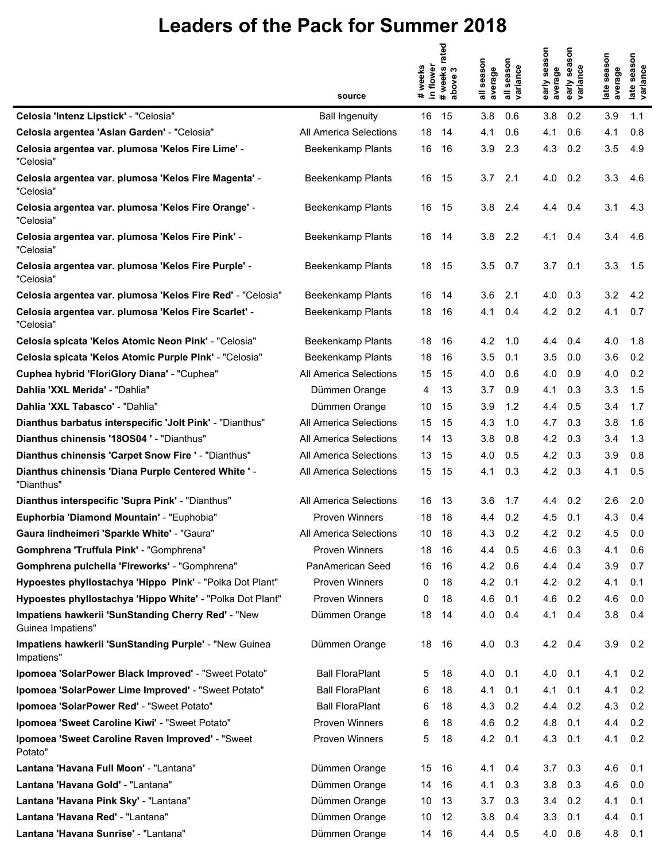|                                                                         |                          | weeks<br>in flower | rated<br>#weeks n<br>above 3 | season<br>average | season<br>variance | early season<br>average | son<br>sea<br>early sea<br>variance | late season<br>average | late season<br>variance |
|-------------------------------------------------------------------------|--------------------------|--------------------|------------------------------|-------------------|--------------------|-------------------------|-------------------------------------|------------------------|-------------------------|
|                                                                         | source                   | $\ddot{}$          |                              | ゠                 |                    |                         |                                     |                        |                         |
| Celosia 'Intenz Lipstick' - "Celosia"                                   | <b>Ball Ingenuity</b>    | 16                 | 15                           | 3.8               | 0.6                | 3.8                     | 0.2                                 | 3.9                    | 1.1                     |
| Celosia argentea 'Asian Garden' - "Celosia"                             | All America Selections   | 18                 | 14                           | 4.1               | 0.6                | 4.1                     | 0.6                                 | 4.1                    | 0.8                     |
| Celosia argentea var. plumosa 'Kelos Fire Lime' -<br>"Celosia"          | Beekenkamp Plants        | 16                 | 16                           | 3.9               | 2.3                | 4.3                     | 0.2                                 | 3.5                    | 4.9                     |
| Celosia argentea var. plumosa 'Kelos Fire Magenta' -<br>"Celosia"       | Beekenkamp Plants        | 16                 | 15                           | 3.7               | 2.1                | 4.0                     | 0.2                                 | 3.3                    | 4.6                     |
| Celosia argentea var. plumosa 'Kelos Fire Orange' -<br>"Celosia"        | Beekenkamp Plants        | 16                 | 15                           | 3.8               | 2.4                | 4.4                     | 0.4                                 | 3.1                    | 4.3                     |
| Celosia argentea var. plumosa 'Kelos Fire Pink' -<br>"Celosia"          | <b>Beekenkamp Plants</b> | 16                 | -14                          | 3.8               | 2.2                | 4.1                     | 0.4                                 | 3.4                    | 4.6                     |
| Celosia argentea var. plumosa 'Kelos Fire Purple' -<br>"Celosia"        | <b>Beekenkamp Plants</b> | 18                 | 15                           | 3.5               | 0.7                | 3.7                     | 0.1                                 | 3.3                    | 1.5                     |
| Celosia argentea var. plumosa 'Kelos Fire Red' - "Celosia"              | Beekenkamp Plants        | 16                 | 14                           | 3.6               | 2.1                | 4.0                     | 0.3                                 | 3.2                    | 4.2                     |
| Celosia argentea var. plumosa 'Kelos Fire Scarlet' -<br>"Celosia"       | Beekenkamp Plants        | 18                 | 16                           | 4.1               | 0.4                | 4.2                     | 0.2                                 | 4.1                    | 0.7                     |
| Celosia spicata 'Kelos Atomic Neon Pink' - "Celosia"                    | Beekenkamp Plants        | 18                 | 16                           | 4.2               | 1.0                | 4.4                     | 0.4                                 | 4.0                    | 1.8                     |
| Celosia spicata 'Kelos Atomic Purple Pink' - "Celosia"                  | Beekenkamp Plants        | 18                 | 16                           | 3.5               | 0.1                | 3.5                     | 0.0                                 | 3.6                    | 0.2                     |
| Cuphea hybrid 'FloriGlory Diana' - "Cuphea"                             | All America Selections   | 15                 | 15                           | 4.0               | 0.6                | 4.0                     | 0.9                                 | 4.0                    | 0.2                     |
| Dahlia 'XXL Merida' - "Dahlia"                                          | Dümmen Orange            | 4                  | 13                           | 3.7               | 0.9                | 4.1                     | 0.3                                 | 3.3                    | 1.5                     |
| Dahlia 'XXL Tabasco' - "Dahlia"                                         | Dümmen Orange            | 10                 | 15                           | 3.9               | 1.2                | 4.4                     | 0.5                                 | 3.4                    | 1.7                     |
| Dianthus barbatus interspecific 'Jolt Pink' - "Dianthus"                | All America Selections   | 15                 | 15                           | 4.3               | 1.0                | 4.7                     | 0.3                                 | 3.8                    | 1.6                     |
| Dianthus chinensis '180S04 ' - "Dianthus"                               | All America Selections   | 14                 | 13                           | 3.8               | 0.8                | 4.2                     | 0.3                                 | 3.4                    | 1.3                     |
| Dianthus chinensis 'Carpet Snow Fire ' - "Dianthus"                     | All America Selections   | 13                 | 15                           | 4.0               | 0.5                | 4.2                     | 0.3                                 | 3.9                    | 0.8                     |
| Dianthus chinensis 'Diana Purple Centered White ' -<br>"Dianthus"       | All America Selections   | 15                 | 15                           | 4.1               | 0.3                | 4.2                     | 0.3                                 | 4.1                    | 0.5                     |
| Dianthus interspecific 'Supra Pink' - "Dianthus"                        | All America Selections   | 16                 | 13                           | 3.6               | 1.7                | 4.4                     | 0.2                                 | 2.6                    | 2.0                     |
| Euphorbia 'Diamond Mountain' - "Euphobia"                               | Proven Winners           | 18                 | 18                           | 4.4               | 0.2                | 4.5                     | 0.1                                 | 4.3                    | 0.4                     |
| Gaura lindheimeri 'Sparkle White' - "Gaura"                             | All America Selections   | 10                 | 18                           | 4.3               | 0.2                | 4.2 0.2                 |                                     | 4.5                    | 0.0                     |
| Gomphrena 'Truffula Pink' - "Gomphrena"                                 | Proven Winners           | 18                 | 16                           | 4.4               | 0.5                | 4.6                     | 0.3                                 | 4.1                    | 0.6                     |
| Gomphrena pulchella 'Fireworks' - "Gomphrena"                           | PanAmerican Seed         | 16                 | 16                           | 4.2               | 0.6                | 4.4                     | 0.4                                 | 3.9                    | 0.7                     |
| Hypoestes phyllostachya 'Hippo Pink' - "Polka Dot Plant"                | Proven Winners           | 0                  | 18                           | 4.2               | 0.1                | 4.2                     | 0.2                                 | 4.1                    | 0.1                     |
| Hypoestes phyllostachya 'Hippo White' - "Polka Dot Plant"               | Proven Winners           | 0                  | 18                           | 4.6               | 0.1                | 4.6                     | 0.2                                 | 4.6                    | 0.0                     |
| Impatiens hawkerii 'SunStanding Cherry Red' - "New<br>Guinea Impatiens" | Dümmen Orange            | 18                 | 14                           | 4.0               | 0.4                | 4.1                     | 0.4                                 | 3.8                    | 0.4                     |
| Impatiens hawkerii 'SunStanding Purple' - "New Guinea<br>Impatiens"     | Dümmen Orange            | 18                 | 16                           | 4.0               | 0.3                | 4.2                     | 0.4                                 | 3.9                    | 0.2                     |
| Ipomoea 'SolarPower Black Improved' - "Sweet Potato"                    | <b>Ball FloraPlant</b>   | 5                  | 18                           | 4.0               | 0.1                | 4.0                     | 0.1                                 | 4.1                    | 0.2                     |
| Ipomoea 'SolarPower Lime Improved' - "Sweet Potato"                     | <b>Ball FloraPlant</b>   | 6                  | 18                           | 4.1               | 0.1                | 4.1                     | 0.1                                 | 4.1                    | 0.2                     |
| Ipomoea 'SolarPower Red' - "Sweet Potato"                               | <b>Ball FloraPlant</b>   | 6                  | 18                           | 4.3               | 0.2                | 4.4                     | 0.2                                 | 4.3                    | 0.2                     |
| Ipomoea 'Sweet Caroline Kiwi' - "Sweet Potato"                          | Proven Winners           | 6                  | 18                           | 4.6               | 0.2                | 4.8                     | 0.1                                 | 4.4                    | 0.2                     |
| Ipomoea 'Sweet Caroline Raven Improved' - "Sweet<br>Potato"             | Proven Winners           | 5                  | 18                           | 4.2               | 0.1                | 4.3                     | 0.1                                 | 4.1                    | 0.2                     |
| Lantana 'Havana Full Moon' - "Lantana"                                  | Dümmen Orange            | 15                 | 16                           | 4.1               | 0.4                | 3.7                     | 0.3                                 | 4.6                    | 0.1                     |
| Lantana 'Havana Gold' - "Lantana"                                       | Dümmen Orange            | 14                 | 16                           | 4.1               | 0.3                | 3.8                     | 0.3                                 | 4.6                    | 0.0                     |
| Lantana 'Havana Pink Sky' - "Lantana"                                   | Dümmen Orange            | 10                 | 13                           | 3.7               | 0.3                | 3.4                     | 0.2                                 | 4.1                    | 0.1                     |
| Lantana 'Havana Red' - "Lantana"                                        | Dümmen Orange            | 10                 | 12                           | 3.8               | 0.4                | 3.3                     | 0.1                                 | 4.4                    | 0.1                     |
| Lantana 'Havana Sunrise' - "Lantana"                                    | Dümmen Orange            | 14                 | 16                           | 4.4               | 0.5                | 4.0                     | 0.6                                 | 4.8                    | 0.1                     |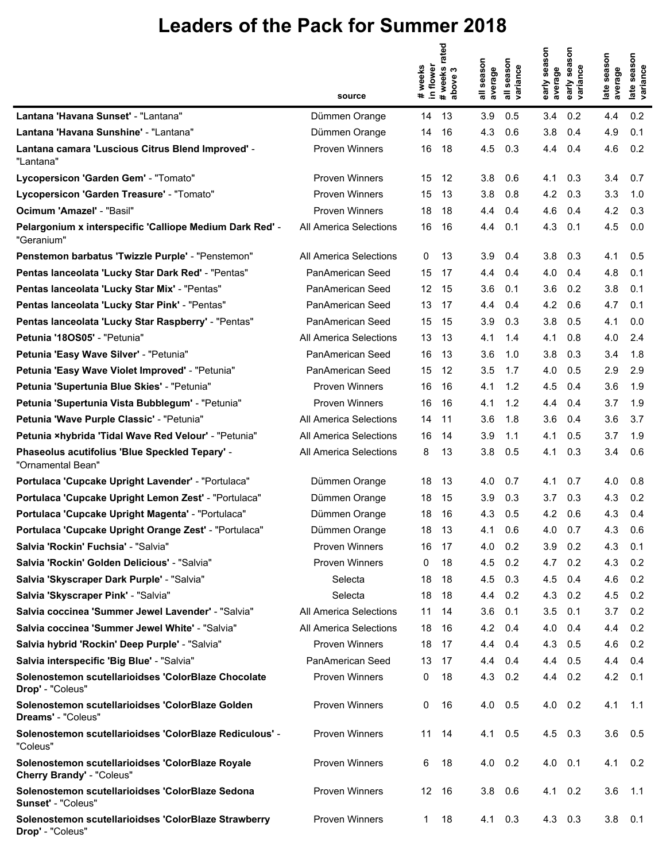|                                                                               | source                 | weeks<br>in flower<br># | #weeks rated<br>above 3 | season<br>average<br>゠ | season<br>variance | early season<br>average | son<br>sea<br>variance<br>early | late season<br>average | late season<br>variance |
|-------------------------------------------------------------------------------|------------------------|-------------------------|-------------------------|------------------------|--------------------|-------------------------|---------------------------------|------------------------|-------------------------|
| Lantana 'Havana Sunset' - "Lantana"                                           | Dümmen Orange          | 14                      | 13                      | 3.9                    | 0.5                | 3.4                     | 0.2                             | 4.4                    | 0.2                     |
| Lantana 'Havana Sunshine' - "Lantana"                                         | Dümmen Orange          | 14                      | 16                      | 4.3                    | 0.6                | 3.8                     | 0.4                             | 4.9                    | 0.1                     |
| Lantana camara 'Luscious Citrus Blend Improved' -<br>"Lantana"                | <b>Proven Winners</b>  | 16                      | 18                      | 4.5                    | 0.3                | 4.4                     | 0.4                             | 4.6                    | 0.2                     |
| Lycopersicon 'Garden Gem' - "Tomato"                                          | <b>Proven Winners</b>  | 15                      | 12                      | 3.8                    | 0.6                | 4.1                     | 0.3                             | 3.4                    | 0.7                     |
| Lycopersicon 'Garden Treasure' - "Tomato"                                     | <b>Proven Winners</b>  | 15                      | 13                      | 3.8                    | 0.8                | 4.2                     | 0.3                             | 3.3                    | 1.0                     |
| Ocimum 'Amazel' - "Basil"                                                     | <b>Proven Winners</b>  | 18                      | 18                      | 4.4                    | 0.4                | 4.6                     | 0.4                             | 4.2                    | 0.3                     |
| Pelargonium x interspecific 'Calliope Medium Dark Red' -<br>"Geranium"        | All America Selections | 16                      | 16                      | 4.4                    | 0.1                | 4.3                     | 0.1                             | 4.5                    | 0.0                     |
| Penstemon barbatus 'Twizzle Purple' - "Penstemon"                             | All America Selections | 0                       | 13                      | 3.9                    | 0.4                | 3.8                     | 0.3                             | 4.1                    | 0.5                     |
| Pentas lanceolata 'Lucky Star Dark Red' - "Pentas"                            | PanAmerican Seed       | 15                      | 17                      | 4.4                    | 0.4                | 4.0                     | 0.4                             | 4.8                    | 0.1                     |
| Pentas lanceolata 'Lucky Star Mix' - "Pentas"                                 | PanAmerican Seed       | 12 <sup>°</sup>         | 15                      | 3.6                    | 0.1                | 3.6                     | 0.2                             | 3.8                    | 0.1                     |
| Pentas lanceolata 'Lucky Star Pink' - "Pentas"                                | PanAmerican Seed       | 13                      | 17                      | 4.4                    | 0.4                | 4.2                     | 0.6                             | 4.7                    | 0.1                     |
| Pentas lanceolata 'Lucky Star Raspberry' - "Pentas"                           | PanAmerican Seed       | 15                      | 15                      | 3.9                    | 0.3                | 3.8                     | 0.5                             | 4.1                    | 0.0                     |
| Petunia '180S05' - "Petunia"                                                  | All America Selections | 13                      | 13                      | 4.1                    | 1.4                | 4.1                     | 0.8                             | 4.0                    | 2.4                     |
| Petunia 'Easy Wave Silver' - "Petunia"                                        | PanAmerican Seed       | 16                      | 13                      | 3.6                    | 1.0                | 3.8                     | 0.3                             | 3.4                    | 1.8                     |
| Petunia 'Easy Wave Violet Improved' - "Petunia"                               | PanAmerican Seed       | 15                      | 12                      | 3.5                    | 1.7                | 4.0                     | 0.5                             | 2.9                    | 2.9                     |
| Petunia 'Supertunia Blue Skies' - "Petunia"                                   | <b>Proven Winners</b>  | 16                      | 16                      | 4.1                    | 1.2                | 4.5                     | 0.4                             | 3.6                    | 1.9                     |
| Petunia 'Supertunia Vista Bubblegum' - "Petunia"                              | <b>Proven Winners</b>  | 16                      | 16                      | 4.1                    | 1.2                | 4.4                     | 0.4                             | 3.7                    | 1.9                     |
| Petunia 'Wave Purple Classic' - "Petunia"                                     | All America Selections | 14                      | 11                      | 3.6                    | 1.8                | 3.6                     | 0.4                             | 3.6                    | 3.7                     |
| Petunia ×hybrida 'Tidal Wave Red Velour' - "Petunia"                          | All America Selections | 16                      | 14                      | 3.9                    | 1.1                | 4.1                     | 0.5                             | 3.7                    | 1.9                     |
| Phaseolus acutifolius 'Blue Speckled Tepary' -<br>"Ornamental Bean"           | All America Selections | 8                       | 13                      | 3.8                    | 0.5                | 4.1                     | 0.3                             | 3.4                    | 0.6                     |
| Portulaca 'Cupcake Upright Lavender' - "Portulaca"                            | Dümmen Orange          | 18                      | 13                      | 4.0                    | 0.7                | 4.1                     | 0.7                             | 4.0                    | 0.8                     |
| Portulaca 'Cupcake Upright Lemon Zest' - "Portulaca"                          | Dümmen Orange          | 18                      | 15                      | 3.9                    | 0.3                | 3.7                     | 0.3                             | 4.3                    | 0.2                     |
| Portulaca 'Cupcake Upright Magenta' - "Portulaca"                             | Dümmen Orange          | 18                      | 16                      | 4.3                    | 0.5                | 4.2                     | 0.6                             | 4.3                    | 0.4                     |
| Portulaca 'Cupcake Upright Orange Zest' - "Portulaca"                         | Dümmen Orange          | 18                      | 13                      | 4.1                    | 0.6                | 4.0                     | 0.7                             | 4.3                    | 0.6                     |
| Salvia 'Rockin' Fuchsia' - "Salvia"                                           | <b>Proven Winners</b>  | 16                      | - 17                    | 4.0                    | 0.2                | 3.9 <sub>2</sub>        | 0.2                             | 4.3                    | 0.1                     |
| Salvia 'Rockin' Golden Delicious' - "Salvia"                                  | <b>Proven Winners</b>  | 0                       | 18                      | 4.5                    | 0.2                | 4.7                     | 0.2                             | 4.3                    | 0.2                     |
| Salvia 'Skyscraper Dark Purple' - "Salvia"                                    | Selecta                | 18                      | -18                     | 4.5                    | 0.3                | 4.5                     | 0.4                             | 4.6                    | 0.2                     |
| Salvia 'Skyscraper Pink' - "Salvia"                                           | Selecta                | 18                      | -18                     | 4.4                    | 0.2                | 4.3                     | 0.2                             | 4.5                    | 0.2                     |
| Salvia coccinea 'Summer Jewel Lavender' - "Salvia"                            | All America Selections | 11                      | 14                      | 3.6                    | 0.1                | 3.5                     | 0.1                             | 3.7                    | 0.2                     |
| Salvia coccinea 'Summer Jewel White' - "Salvia"                               | All America Selections | 18                      | -16                     | 4.2                    | 0.4                | 4.0                     | 0.4                             | 4.4                    | 0.2                     |
| Salvia hybrid 'Rockin' Deep Purple' - "Salvia"                                | <b>Proven Winners</b>  | 18                      | -17                     | 4.4                    | 0.4                | 4.3                     | 0.5                             | 4.6                    | 0.2                     |
| Salvia interspecific 'Big Blue' - "Salvia"                                    | PanAmerican Seed       | 13                      | -17                     | 4.4                    | 0.4                | 4.4                     | 0.5                             | 4.4                    | 0.4                     |
| Solenostemon scutellarioidses 'ColorBlaze Chocolate<br>Drop' - "Coleus"       | <b>Proven Winners</b>  | 0                       | 18                      | 4.3                    | 0.2                | 4.4                     | 0.2                             | 4.2                    | 0.1                     |
| Solenostemon scutellarioidses 'ColorBlaze Golden<br>Dreams' - "Coleus"        | Proven Winners         | 0                       | 16                      | 4.0                    | 0.5                |                         | $4.0 \quad 0.2$                 | 4.1                    | 1.1                     |
| Solenostemon scutellarioidses 'ColorBlaze Rediculous' -<br>"Coleus"           | <b>Proven Winners</b>  | 11                      | 14                      | 4.1                    | 0.5                |                         | $4.5$ 0.3                       | 3.6                    | 0.5                     |
| Solenostemon scutellarioidses 'ColorBlaze Royale<br>Cherry Brandy' - "Coleus" | Proven Winners         | 6                       | 18                      | $4.0 \quad 0.2$        |                    | $4.0$ $0.1$             |                                 | 4.1                    | 0.2                     |
| Solenostemon scutellarioidses 'ColorBlaze Sedona<br>Sunset' - "Coleus"        | <b>Proven Winners</b>  | 12 16                   |                         | $3.8\quad 0.6$         |                    |                         | $4.1 \quad 0.2$                 | 3.6                    | 1.1                     |
| Solenostemon scutellarioidses 'ColorBlaze Strawberry<br>Drop' - "Coleus"      | <b>Proven Winners</b>  | 1                       | 18                      | 4.1                    | 0.3                |                         | 4.3 0.3                         | 3.8                    | 0.1                     |